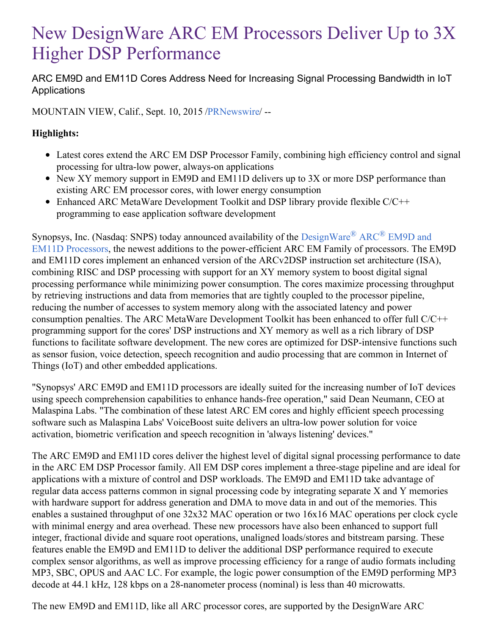# New DesignWare ARC EM Processors Deliver Up to 3X Higher DSP Performance

ARC EM9D and EM11D Cores Address Need for Increasing Signal Processing Bandwidth in IoT **Applications** 

MOUNTAIN VIEW, Calif., Sept. 10, 2015 [/PRNewswire](http://www.prnewswire.com/)/ --

## **Highlights:**

- Latest cores extend the ARC EM DSP Processor Family, combining high efficiency control and signal processing for ultra-low power, always-on applications
- New XY memory support in EM9D and EM11D delivers up to 3X or more DSP performance than existing ARC EM processor cores, with lower energy consumption
- Enhanced ARC MetaWare Development Toolkit and DSP library provide flexible C/C++ programming to ease application software development

Synopsys, Inc. (Nasdaq: SNPS) today announced availability of the  $DesignWare^{\circledR}$  ARC<sup>®</sup> EM9D and EM11D Processors, the newest additions to the [power-efficient](https://www.synopsys.com/dw/ipdir.php?ds=arc-em9d-em11d) ARC EM Family of processors. The EM9D and EM11D cores implement an enhanced version of the ARCv2DSP instruction set architecture (ISA), combining RISC and DSP processing with support for an XY memory system to boost digital signal processing performance while minimizing power consumption. The cores maximize processing throughput by retrieving instructions and data from memories that are tightly coupled to the processor pipeline, reducing the number of accesses to system memory along with the associated latency and power consumption penalties. The ARC MetaWare Development Toolkit has been enhanced to offer full C/C++ programming support for the cores' DSP instructions and XY memory as well as a rich library of DSP functions to facilitate software development. The new cores are optimized for DSP-intensive functions such as sensor fusion, voice detection, speech recognition and audio processing that are common in Internet of Things (IoT) and other embedded applications.

"Synopsys' ARC EM9D and EM11D processors are ideally suited for the increasing number of IoT devices using speech comprehension capabilities to enhance hands-free operation," said Dean Neumann, CEO at Malaspina Labs. "The combination of these latest ARC EM cores and highly efficient speech processing software such as Malaspina Labs' VoiceBoost suite delivers an ultra-low power solution for voice activation, biometric verification and speech recognition in 'always listening' devices."

The ARC EM9D and EM11D cores deliver the highest level of digital signal processing performance to date in the ARC EM DSP Processor family. All EM DSP cores implement a three-stage pipeline and are ideal for applications with a mixture of control and DSP workloads. The EM9D and EM11D take advantage of regular data access patterns common in signal processing code by integrating separate X and Y memories with hardware support for address generation and DMA to move data in and out of the memories. This enables a sustained throughput of one 32x32 MAC operation or two 16x16 MAC operations per clock cycle with minimal energy and area overhead. These new processors have also been enhanced to support full integer, fractional divide and square root operations, unaligned loads/stores and bitstream parsing. These features enable the EM9D and EM11D to deliver the additional DSP performance required to execute complex sensor algorithms, as well as improve processing efficiency for a range of audio formats including MP3, SBC, OPUS and AAC LC. For example, the logic power consumption of the EM9D performing MP3 decode at 44.1 kHz, 128 kbps on a 28-nanometer process (nominal) is less than 40 microwatts.

The new EM9D and EM11D, like all ARC processor cores, are supported by the DesignWare ARC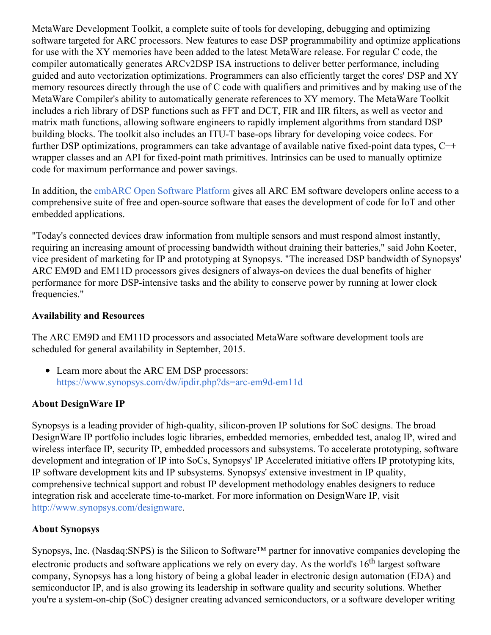MetaWare Development Toolkit, a complete suite of tools for developing, debugging and optimizing software targeted for ARC processors. New features to ease DSP programmability and optimize applications for use with the XY memories have been added to the latest MetaWare release. For regular C code, the compiler automatically generates ARCv2DSP ISA instructions to deliver better performance, including guided and auto vectorization optimizations. Programmers can also efficiently target the cores' DSP and XY memory resources directly through the use of C code with qualifiers and primitives and by making use of the MetaWare Compiler's ability to automatically generate references to XY memory. The MetaWare Toolkit includes a rich library of DSP functions such as FFT and DCT, FIR and IIR filters, as well as vector and matrix math functions, allowing software engineers to rapidly implement algorithms from standard DSP building blocks. The toolkit also includes an ITU-T base-ops library for developing voice codecs. For further DSP optimizations, programmers can take advantage of available native fixed-point data types, C++ wrapper classes and an API for fixed-point math primitives. Intrinsics can be used to manually optimize code for maximum performance and power savings.

In addition, the [embARC](https://www.embarc.org/) Open Software Platform gives all ARC EM software developers online access to a comprehensive suite of free and open-source software that eases the development of code for IoT and other embedded applications.

"Today's connected devices draw information from multiple sensors and must respond almost instantly, requiring an increasing amount of processing bandwidth without draining their batteries," said John Koeter, vice president of marketing for IP and prototyping at Synopsys. "The increased DSP bandwidth of Synopsys' ARC EM9D and EM11D processors gives designers of always-on devices the dual benefits of higher performance for more DSP-intensive tasks and the ability to conserve power by running at lower clock frequencies."

#### **Availability and Resources**

The ARC EM9D and EM11D processors and associated MetaWare software development tools are scheduled for general availability in September, 2015.

Learn more about the ARC EM DSP processors: <https://www.synopsys.com/dw/ipdir.php?ds=arc-em9d-em11d>

### **About DesignWare IP**

Synopsys is a leading provider of high-quality, silicon-proven IP solutions for SoC designs. The broad DesignWare IP portfolio includes logic libraries, embedded memories, embedded test, analog IP, wired and wireless interface IP, security IP, embedded processors and subsystems. To accelerate prototyping, software development and integration of IP into SoCs, Synopsys' IP Accelerated initiative offers IP prototyping kits, IP software development kits and IP subsystems. Synopsys' extensive investment in IP quality, comprehensive technical support and robust IP development methodology enables designers to reduce integration risk and accelerate time-to-market. For more information on DesignWare IP, visit <http://www.synopsys.com/designware>.

# **About Synopsys**

Synopsys, Inc. (Nasdaq:SNPS) is the Silicon to Software™ partner for innovative companies developing the electronic products and software applications we rely on every day. As the world's 16<sup>th</sup> largest software company, Synopsys has a long history of being a global leader in electronic design automation (EDA) and semiconductor IP, and is also growing its leadership in software quality and security solutions. Whether you're a system-on-chip (SoC) designer creating advanced semiconductors, or a software developer writing